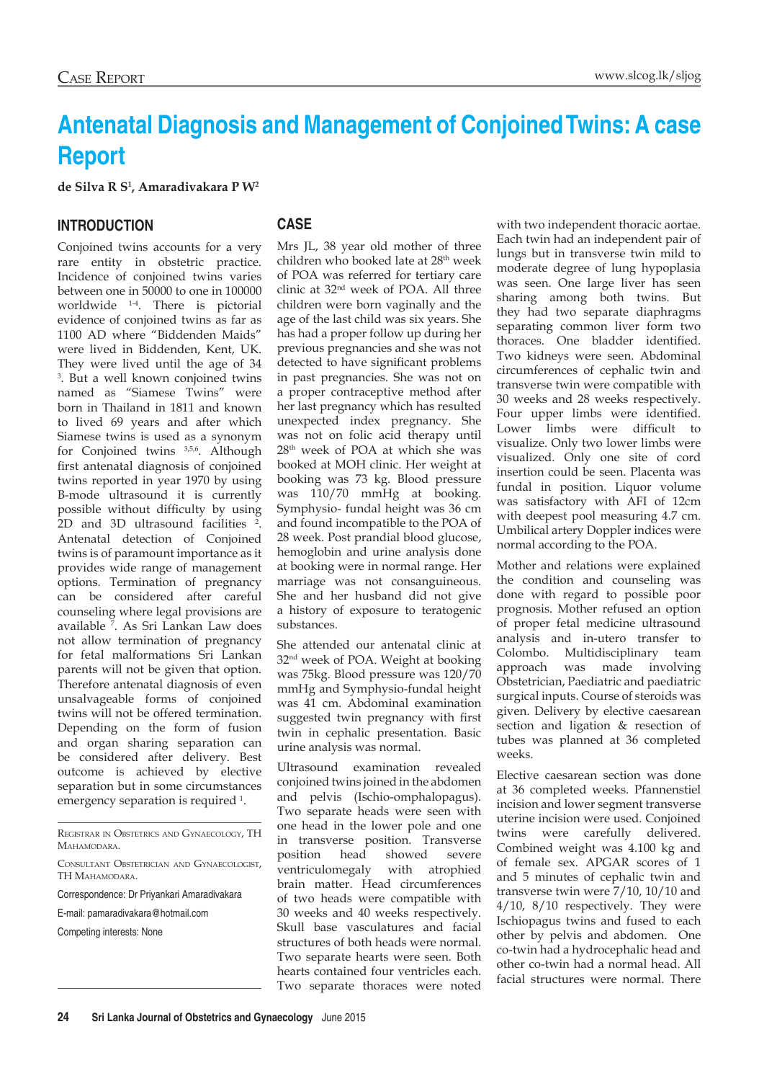# **Antenatal Diagnosis and Management of Conjoined Twins: A case Report**

**de Silva R S1 , Amaradivakara P W2**

## **INTRODUCTION**

Conjoined twins accounts for a very rare entity in obstetric practice. Incidence of conjoined twins varies between one in 50000 to one in 100000 worldwide 1-4. There is pictorial evidence of conjoined twins as far as 1100 AD where "Biddenden Maids" were lived in Biddenden, Kent, UK. They were lived until the age of 34 3 . But a well known conjoined twins named as "Siamese Twins" were born in Thailand in 1811 and known to lived 69 years and after which Siamese twins is used as a synonym for Conjoined twins 3,5,6. Although first antenatal diagnosis of conjoined twins reported in year 1970 by using B-mode ultrasound it is currently possible without difficulty by using 2D and 3D ultrasound facilities 2 . Antenatal detection of Conjoined twins is of paramount importance as it provides wide range of management options. Termination of pregnancy can be considered after careful counseling where legal provisions are available 7 . As Sri Lankan Law does not allow termination of pregnancy for fetal malformations Sri Lankan parents will not be given that option. Therefore antenatal diagnosis of even unsalvageable forms of conjoined twins will not be offered termination. Depending on the form of fusion and organ sharing separation can be considered after delivery. Best outcome is achieved by elective separation but in some circumstances emergency separation is required <sup>1</sup>.

Registrar in Obstetrics and Gynaecology, TH **MAHAMODARA** 

Correspondence: Dr Priyankari Amaradivakara

E-mail: pamaradivakara@hotmail.com

## **CASE**

Mrs JL, 38 year old mother of three children who booked late at 28<sup>th</sup> week of POA was referred for tertiary care clinic at 32nd week of POA. All three children were born vaginally and the age of the last child was six years. She has had a proper follow up during her previous pregnancies and she was not detected to have significant problems in past pregnancies. She was not on a proper contraceptive method after her last pregnancy which has resulted unexpected index pregnancy. She was not on folic acid therapy until 28th week of POA at which she was booked at MOH clinic. Her weight at booking was 73 kg. Blood pressure was 110/70 mmHg at booking. Symphysio- fundal height was 36 cm and found incompatible to the POA of 28 week. Post prandial blood glucose, hemoglobin and urine analysis done at booking were in normal range. Her marriage was not consanguineous. She and her husband did not give a history of exposure to teratogenic substances.

She attended our antenatal clinic at 32nd week of POA. Weight at booking was 75kg. Blood pressure was 120/70 mmHg and Symphysio-fundal height was 41 cm. Abdominal examination suggested twin pregnancy with first twin in cephalic presentation. Basic urine analysis was normal.

Ultrasound examination revealed conjoined twins joined in the abdomen and pelvis (Ischio-omphalopagus). Two separate heads were seen with one head in the lower pole and one in transverse position. Transverse position head showed severe ventriculomegaly with atrophied brain matter. Head circumferences of two heads were compatible with 30 weeks and 40 weeks respectively. Skull base vasculatures and facial structures of both heads were normal. Two separate hearts were seen. Both hearts contained four ventricles each. Two separate thoraces were noted

with two independent thoracic aortae. Each twin had an independent pair of lungs but in transverse twin mild to moderate degree of lung hypoplasia was seen. One large liver has seen sharing among both twins. But they had two separate diaphragms separating common liver form two thoraces. One bladder identified. Two kidneys were seen. Abdominal circumferences of cephalic twin and transverse twin were compatible with 30 weeks and 28 weeks respectively. Four upper limbs were identified. Lower limbs were difficult to visualize. Only two lower limbs were visualized. Only one site of cord insertion could be seen. Placenta was fundal in position. Liquor volume was satisfactory with AFI of 12cm with deepest pool measuring 4.7 cm. Umbilical artery Doppler indices were normal according to the POA.

Mother and relations were explained the condition and counseling was done with regard to possible poor prognosis. Mother refused an option of proper fetal medicine ultrasound analysis and in-utero transfer to Colombo. Multidisciplinary team approach was made involving Obstetrician, Paediatric and paediatric surgical inputs. Course of steroids was given. Delivery by elective caesarean section and ligation & resection of tubes was planned at 36 completed weeks.

Elective caesarean section was done at 36 completed weeks. Pfannenstiel incision and lower segment transverse uterine incision were used. Conjoined twins were carefully delivered. Combined weight was 4.100 kg and of female sex. APGAR scores of 1 and 5 minutes of cephalic twin and transverse twin were 7/10, 10/10 and 4/10, 8/10 respectively. They were Ischiopagus twins and fused to each other by pelvis and abdomen. One co-twin had a hydrocephalic head and other co-twin had a normal head. All facial structures were normal. There

Consultant Obstetrician and Gynaecologist, TH MAHAMODARA.

Competing interests: None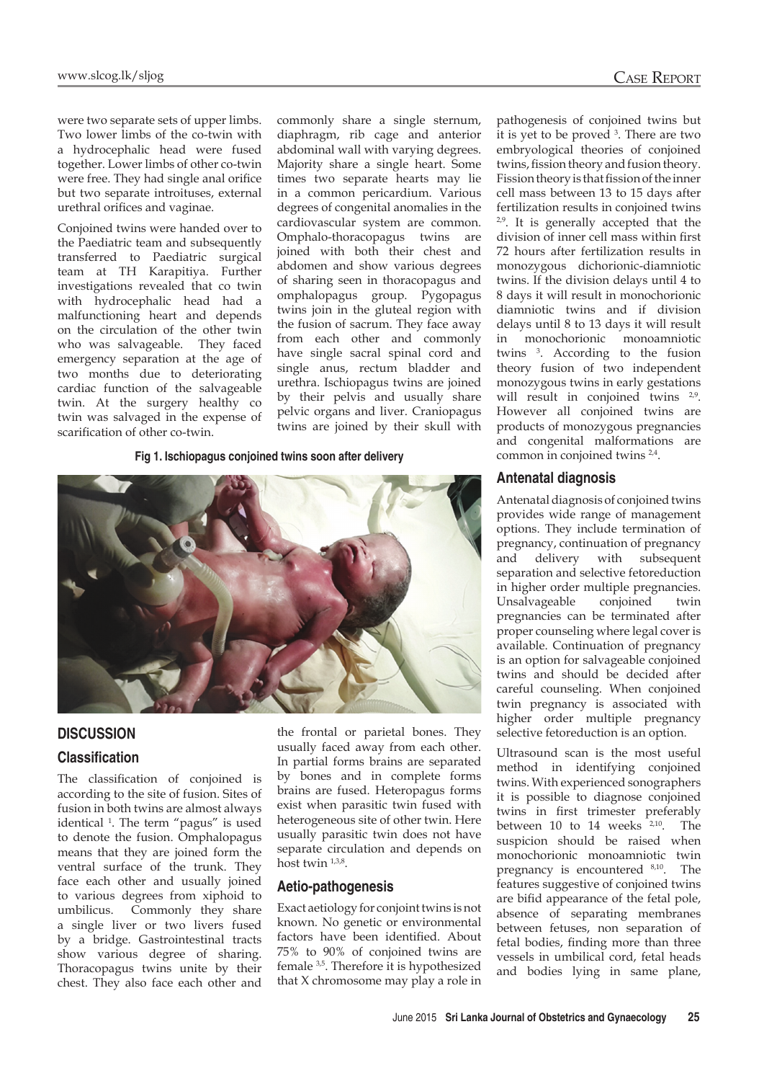were two separate sets of upper limbs. Two lower limbs of the co-twin with a hydrocephalic head were fused together. Lower limbs of other co-twin were free. They had single anal orifice but two separate introituses, external urethral orifices and vaginae.

Conjoined twins were handed over to the Paediatric team and subsequently transferred to Paediatric surgical team at TH Karapitiya. Further investigations revealed that co twin with hydrocephalic head had a malfunctioning heart and depends on the circulation of the other twin who was salvageable. They faced emergency separation at the age of two months due to deteriorating cardiac function of the salvageable twin. At the surgery healthy co twin was salvaged in the expense of scarification of other co-twin.

commonly share a single sternum, diaphragm, rib cage and anterior abdominal wall with varying degrees. Majority share a single heart. Some times two separate hearts may lie in a common pericardium. Various degrees of congenital anomalies in the cardiovascular system are common. Omphalo-thoracopagus twins are joined with both their chest and abdomen and show various degrees of sharing seen in thoracopagus and omphalopagus group. Pygopagus twins join in the gluteal region with the fusion of sacrum. They face away from each other and commonly have single sacral spinal cord and single anus, rectum bladder and urethra. Ischiopagus twins are joined by their pelvis and usually share pelvic organs and liver. Craniopagus twins are joined by their skull with

**Fig 1. Ischiopagus conjoined twins soon after delivery**



## **DISCUSSION**

## **Classification**

The classification of conjoined is according to the site of fusion. Sites of fusion in both twins are almost always identical 1 . The term "pagus" is used to denote the fusion. Omphalopagus means that they are joined form the ventral surface of the trunk. They face each other and usually joined to various degrees from xiphoid to umbilicus. Commonly they share a single liver or two livers fused by a bridge. Gastrointestinal tracts show various degree of sharing. Thoracopagus twins unite by their chest. They also face each other and

the frontal or parietal bones. They usually faced away from each other. In partial forms brains are separated by bones and in complete forms brains are fused. Heteropagus forms exist when parasitic twin fused with heterogeneous site of other twin. Here usually parasitic twin does not have separate circulation and depends on host twin  $1,3,8$ .

#### **Aetio-pathogenesis**

Exact aetiology for conjoint twins is not known. No genetic or environmental factors have been identified. About 75% to 90% of conjoined twins are female 3,5. Therefore it is hypothesized that X chromosome may play a role in

pathogenesis of conjoined twins but it is yet to be proved 3 . There are two embryological theories of conjoined twins, fission theory and fusion theory. Fission theory is that fission of the inner cell mass between 13 to 15 days after fertilization results in conjoined twins  $2,9$ . It is generally accepted that the division of inner cell mass within first 72 hours after fertilization results in monozygous dichorionic-diamniotic twins. If the division delays until 4 to 8 days it will result in monochorionic diamniotic twins and if division delays until 8 to 13 days it will result in monochorionic monoamniotic twins 3 . According to the fusion theory fusion of two independent monozygous twins in early gestations will result in conjoined twins <sup>2,9</sup>. However all conjoined twins are products of monozygous pregnancies and congenital malformations are common in conjoined twins 2,4.

#### **Antenatal diagnosis**

Antenatal diagnosis of conjoined twins provides wide range of management options. They include termination of pregnancy, continuation of pregnancy and delivery with subsequent separation and selective fetoreduction in higher order multiple pregnancies. Unsalvageable conjoined twin pregnancies can be terminated after proper counseling where legal cover is available. Continuation of pregnancy is an option for salvageable conjoined twins and should be decided after careful counseling. When conjoined twin pregnancy is associated with higher order multiple pregnancy selective fetoreduction is an option.

Ultrasound scan is the most useful method in identifying conjoined twins. With experienced sonographers it is possible to diagnose conjoined twins in first trimester preferably between  $10$  to  $14$  weeks  $2,10$ . The suspicion should be raised when monochorionic monoamniotic twin pregnancy is encountered 8,10. The features suggestive of conjoined twins are bifid appearance of the fetal pole, absence of separating membranes between fetuses, non separation of fetal bodies, finding more than three vessels in umbilical cord, fetal heads and bodies lying in same plane,